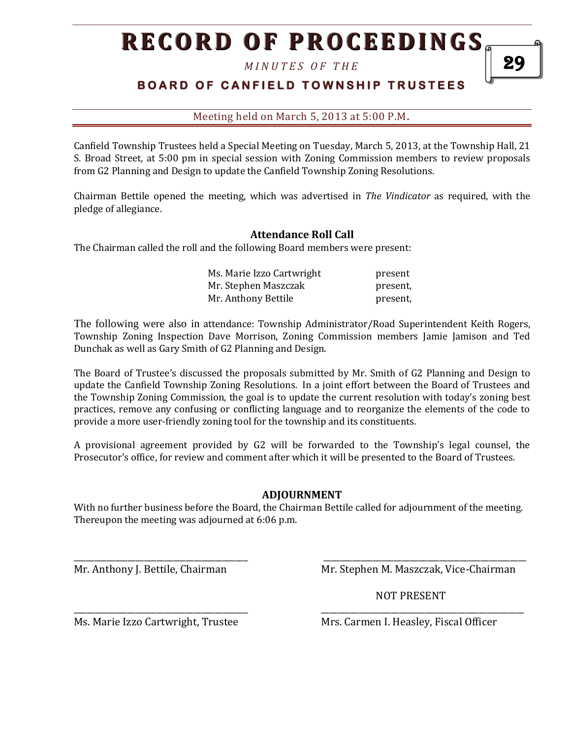# **RECORD OF PROCEEDINGS**

*M I N U T E S O F T H E* 

## **BOARD OF CANFIELD TOWNSHIP TRUSTEES**

Meeting held on March 5, 2013 at 5:00 P.M**.**

Canfield Township Trustees held a Special Meeting on Tuesday, March 5, 2013, at the Township Hall, 21 S. Broad Street, at 5:00 pm in special session with Zoning Commission members to review proposals from G2 Planning and Design to update the Canfield Township Zoning Resolutions.

Chairman Bettile opened the meeting, which was advertised in *The Vindicator* as required, with the pledge of allegiance.

#### **Attendance Roll Call**

The Chairman called the roll and the following Board members were present:

| Ms. Marie Izzo Cartwright | present  |
|---------------------------|----------|
| Mr. Stephen Maszczak      | present, |
| Mr. Anthony Bettile       | present, |

The following were also in attendance: Township Administrator/Road Superintendent Keith Rogers, Township Zoning Inspection Dave Morrison, Zoning Commission members Jamie Jamison and Ted Dunchak as well as Gary Smith of G2 Planning and Design.

The Board of Trustee's discussed the proposals submitted by Mr. Smith of G2 Planning and Design to update the Canfield Township Zoning Resolutions. In a joint effort between the Board of Trustees and the Township Zoning Commission, the goal is to update the current resolution with today's zoning best practices, remove any confusing or conflicting language and to reorganize the elements of the code to provide a more user-friendly zoning tool for the township and its constituents.

A provisional agreement provided by G2 will be forwarded to the Township's legal counsel, the Prosecutor's office, for review and comment after which it will be presented to the Board of Trustees.

#### **ADJOURNMENT**

With no further business before the Board, the Chairman Bettile called for adjournment of the meeting. Thereupon the meeting was adjourned at 6:06 p.m.

\_\_\_\_\_\_\_\_\_\_\_\_\_\_\_\_\_\_\_\_\_\_\_\_\_\_\_\_\_\_\_\_\_\_\_\_\_\_\_\_\_\_ \_\_\_\_\_\_\_\_\_\_\_\_\_\_\_\_\_\_\_\_\_\_\_\_\_\_\_\_\_\_\_\_\_\_\_\_\_\_\_\_\_\_\_\_\_\_\_\_\_

\_\_\_\_\_\_\_\_\_\_\_\_\_\_\_\_\_\_\_\_\_\_\_\_\_\_\_\_\_\_\_\_\_\_\_\_\_\_\_\_\_\_ \_\_\_\_\_\_\_\_\_\_\_\_\_\_\_\_\_\_\_\_\_\_\_\_\_\_\_\_\_\_\_\_\_\_\_\_\_\_\_\_\_\_\_\_\_\_\_\_\_

Mr. Anthony J. Bettile, Chairman Mr. Stephen M. Maszczak, Vice-Chairman

NOT PRESENT

Ms. Marie Izzo Cartwright, Trustee Mrs. Carmen I. Heasley, Fiscal Officer

29